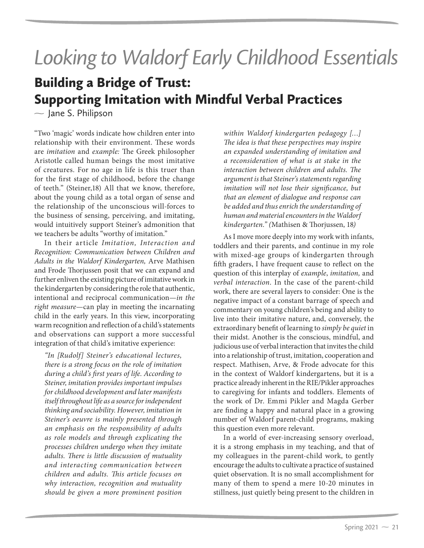## *Looking to Waldorf Early Childhood Essentials*

## Building a Bridge of Trust: Supporting Imitation with Mindful Verbal Practices

 $\sim$  Jane S. Philipson

"Two 'magic' words indicate how children enter into relationship with their environment. These words are *imitation* and *example:* The Greek philosopher Aristotle called human beings the most imitative of creatures. For no age in life is this truer than for the first stage of childhood, before the change of teeth." (Steiner,18) All that we know, therefore, about the young child as a total organ of sense and the relationship of the unconscious will-forces to the business of sensing, perceiving, and imitating, would intuitively support Steiner's admonition that we teachers be adults "worthy of imitation."

In their article *Imitation, Interaction and Recognition: Communication between Children and Adults in the Waldorf Kindergarten,* Arve Mathisen and Frode Thorjussen posit that we can expand and further enliven the existing picture of imitative work in the kindergarten by considering the role that authentic, intentional and reciprocal communication—*in the right measure*—can play in meeting the incarnating child in the early years. In this view, incorporating warm recognition and reflection of a child's statements and observations can support a more successful integration of that child's imitative experience:

*"In [Rudolf] Steiner's educational lectures, there is a strong focus on the role of imitation during a child's first years of life. According to Steiner, imitation provides important impulses for childhood development and later manifests itself throughout life as a source for independent thinking and sociability. However, imitation in Steiner's oeuvre is mainly presented through an emphasis on the responsibility of adults as role models and through explicating the processes children undergo when they imitate adults. There is little discussion of mutuality and interacting communication between children and adults. This article focuses on why interaction, recognition and mutuality should be given a more prominent position*  *within Waldorf kindergarten pedagogy […] The idea is that these perspectives may inspire an expanded understanding of imitation and a reconsideration of what is at stake in the interaction between children and adults. The argument is that Steiner's statements regarding imitation will not lose their significance, but that an element of dialogue and response can be added and thus enrich the understanding of human and material encounters in the Waldorf kindergarten." (*Mathisen & Thorjussen, 18*)* 

As I move more deeply into my work with infants, toddlers and their parents, and continue in my role with mixed-age groups of kindergarten through fifth graders, I have frequent cause to reflect on the question of this interplay of *example*, *imitation,* and *verbal interaction*. In the case of the parent-child work, there are several layers to consider: One is the negative impact of a constant barrage of speech and commentary on young children's being and ability to live into their imitative nature, and, conversely, the extraordinary benefit of learning to *simply be quiet* in their midst. Another is the conscious, mindful, and judicious use of verbal interaction that invites the child into a relationship of trust, imitation, cooperation and respect. Mathisen, Arve, & Frode advocate for this in the context of Waldorf kindergartens, but it is a practice already inherent in the RIE/Pikler approaches to caregiving for infants and toddlers. Elements of the work of Dr. Emmi Pikler and Magda Gerber are finding a happy and natural place in a growing number of Waldorf parent-child programs, making this question even more relevant.

In a world of ever-increasing sensory overload, it is a strong emphasis in my teaching, and that of my colleagues in the parent-child work, to gently encourage the adults to cultivate a practice of sustained quiet observation. It is no small accomplishment for many of them to spend a mere 10-20 minutes in stillness, just quietly being present to the children in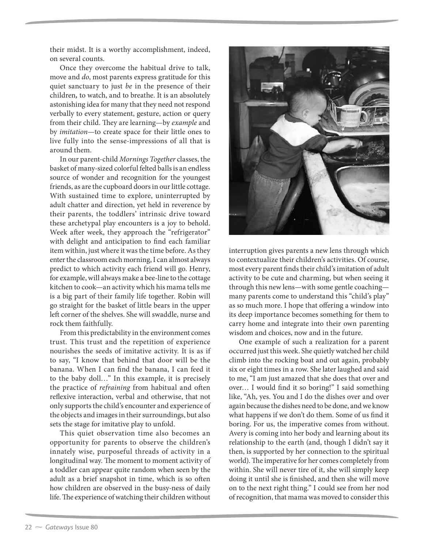their midst. It is a worthy accomplishment, indeed, on several counts.

Once they overcome the habitual drive to talk, move and *do*, most parents express gratitude for this quiet sanctuary to just *be* in the presence of their children**,** to watch, and to breathe. It is an absolutely astonishing idea for many that they need not respond verbally to every statement, gesture, action or query from their child. They are learning—by *example* and by *imitation*—to create space for their little ones to live fully into the sense-impressions of all that is around them.

In our parent-child *Mornings Together* classes, the basket of many-sized colorful felted balls is an endless source of wonder and recognition for the youngest friends, as are the cupboard doors in our little cottage. With sustained time to explore, uninterrupted by adult chatter and direction, yet held in reverence by their parents, the toddlers' intrinsic drive toward these archetypal play encounters is a joy to behold. Week after week, they approach the "refrigerator" with delight and anticipation to find each familiar item within, just where it was the time before. As they enter the classroom each morning, I can almost always predict to which activity each friend will go. Henry, for example, will always make a bee-line to the cottage kitchen to cook—an activity which his mama tells me is a big part of their family life together. Robin will go straight for the basket of little bears in the upper left corner of the shelves. She will swaddle, nurse and rock them faithfully.

From this predictability in the environment comes trust. This trust and the repetition of experience nourishes the seeds of imitative activity. It is as if to say, "I know that behind that door will be the banana. When I can find the banana, I can feed it to the baby doll…" In this example, it is precisely the practice of *refraining* from habitual and often reflexive interaction, verbal and otherwise, that not only supports the child's encounter and experience of the objects and images in their surroundings, but also sets the stage for imitative play to unfold.

This quiet observation time also becomes an opportunity for parents to observe the children's innately wise, purposeful threads of activity in a longitudinal way. The moment to moment activity of a toddler can appear quite random when seen by the adult as a brief snapshot in time, which is so often how children are observed in the busy-ness of daily life. The experience of watching their children without



interruption gives parents a new lens through which to contextualize their children's activities. Of course, most every parent finds their child's imitation of adult activity to be cute and charming, but when seeing it through this new lens—with some gentle coaching many parents come to understand this "child's play" as so much more. I hope that offering a window into its deep importance becomes something for them to carry home and integrate into their own parenting wisdom and choices, now and in the future.

One example of such a realization for a parent occurred just this week. She quietly watched her child climb into the rocking boat and out again, probably six or eight times in a row. She later laughed and said to me, "I am just amazed that she does that over and over… I would find it so boring!" I said something like, "Ah, yes. You and I do the dishes over and over again because the dishes need to be done, and we know what happens if we don't do them. Some of us find it boring. For us, the imperative comes from without. Avery is coming into her body and learning about its relationship to the earth (and, though I didn't say it then, is supported by her connection to the spiritual world). The imperative for her comes completely from within. She will never tire of it, she will simply keep doing it until she is finished, and then she will move on to the next right thing." I could see from her nod of recognition, that mama was moved to consider this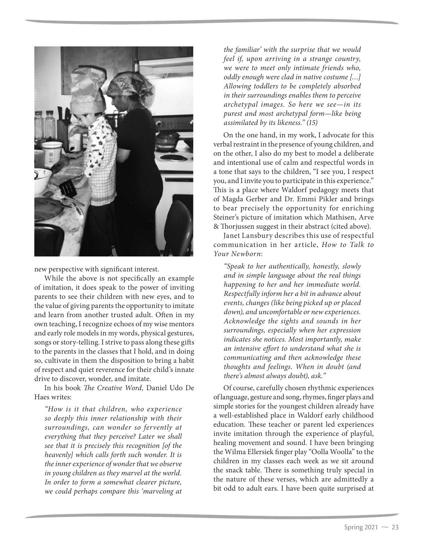

new perspective with significant interest.

While the above is not specifically an example of imitation, it does speak to the power of inviting parents to see their children with new eyes, and to the value of giving parents the opportunity to imitate and learn from another trusted adult. Often in my own teaching, I recognize echoes of my wise mentors and early role models in my words, physical gestures, songs or story-telling. I strive to pass along these gifts to the parents in the classes that I hold, and in doing so, cultivate in them the disposition to bring a habit of respect and quiet reverence for their child's innate drive to discover, wonder, and imitate.

In his book *The Creative Word,* Daniel Udo De Haes writes:

*"How is it that children, who experience so deeply this inner relationship with their surroundings, can wonder so fervently at everything that they perceive? Later we shall see that it is precisely this recognition [of the heavenly] which calls forth such wonder. It is the inner experience of wonder that we observe in young children as they marvel at the world. In order to form a somewhat clearer picture, we could perhaps compare this 'marveling at* 

*the familiar' with the surprise that we would feel if, upon arriving in a strange country, we were to meet only intimate friends who, oddly enough were clad in native costume […] Allowing toddlers to be completely absorbed in their surroundings enables them to perceive archetypal images. So here we see—in its purest and most archetypal form—like being assimilated by its likeness." (15)* 

On the one hand, in my work, I advocate for this verbal restraint in the presence of young children, and on the other, I also do my best to model a deliberate and intentional use of calm and respectful words in a tone that says to the children, "I see you, I respect you, and I invite you to participate in this experience." This is a place where Waldorf pedagogy meets that of Magda Gerber and Dr. Emmi Pikler and brings to bear precisely the opportunity for enriching Steiner's picture of imitation which Mathisen, Arve & Thorjussen suggest in their abstract (cited above).

Janet Lansbury describes this use of respectful communication in her article, *How to Talk to Your Newborn*:

*"Speak to her authentically, honestly, slowly and in simple language about the real things happening to her and her immediate world. Respectfully inform her a bit in advance about events, changes (like being picked up or placed down), and uncomfortable or new experiences. Acknowledge the sights and sounds in her surroundings, especially when her expression indicates she notices. Most importantly, make an intensive effort to understand what she is communicating and then acknowledge these thoughts and feelings. When in doubt (and there's almost always doubt), ask."* 

Of course, carefully chosen rhythmic experiences of language, gesture and song, rhymes, finger plays and simple stories for the youngest children already have a well-established place in Waldorf early childhood education. These teacher or parent led experiences invite imitation through the experience of playful, healing movement and sound. I have been bringing the Wilma Ellersiek finger play "Oolla Woolla" to the children in my classes each week as we sit around the snack table. There is something truly special in the nature of these verses, which are admittedly a bit odd to adult ears. I have been quite surprised at